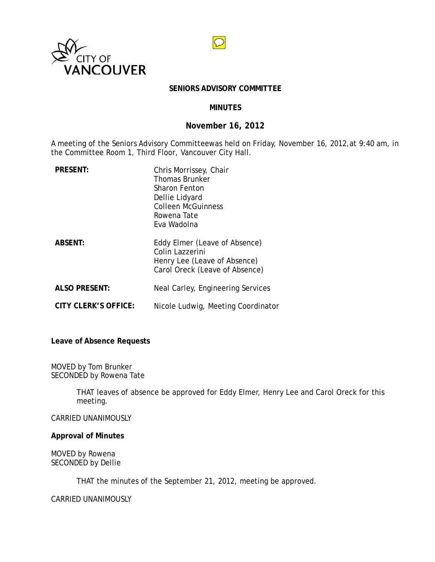



### **SENIORS ADVISORY COMMITTEE**

# **MINUTES**

## **November 16, 2012**

A meeting of the Seniors Advisory Committeewas held on Friday, November 16, 2012,at 9:40 am, in the Committee Room 1, Third Floor, Vancouver City Hall.

| <b>PRESENT:</b>      | Chris Morrissey, Chair<br><b>Thomas Brunker</b><br>Sharon Fenton<br>Dellie Lidyard<br><b>Colleen McGuinness</b><br>Rowena Tate<br>Fva Wadolna |
|----------------------|-----------------------------------------------------------------------------------------------------------------------------------------------|
| <b>ABSENT:</b>       | Eddy Elmer (Leave of Absence)<br>Colin Lazzerini<br>Henry Lee (Leave of Absence)<br>Carol Oreck (Leave of Absence)                            |
| <b>ALSO PRESENT:</b> | Neal Carley, Engineering Services                                                                                                             |
| CITY CLERK'S OFFICE: | Nicole Ludwig, Meeting Coordinator                                                                                                            |

**Leave of Absence Requests**

MOVED by Tom Brunker SECONDED by Rowena Tate

> THAT leaves of absence be approved for Eddy Elmer, Henry Lee and Carol Oreck for this meeting.

CARRIED UNANIMOUSLY

**Approval of Minutes**

MOVED by Rowena SECONDED by Dellie

THAT the minutes of the September 21, 2012, meeting be approved.

CARRIED UNANIMOUSLY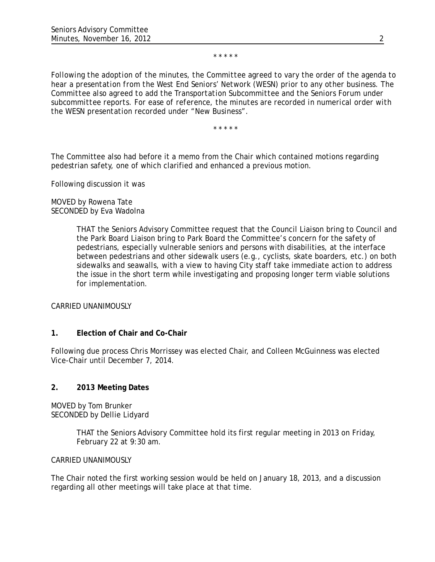#### \* \* \* \* \*

*Following the adoption of the minutes, the Committee agreed to vary the order of the agenda to hear a presentation from the West End Seniors' Network (WESN) prior to any other business. The Committee also agreed to add the Transportation Subcommittee and the Seniors Forum under subcommittee reports. For ease of reference, the minutes are recorded in numerical order with the WESN presentation recorded under "New Business".*

\* \* \* \* \*

The Committee also had before it a memo from the Chair which contained motions regarding pedestrian safety, one of which clarified and enhanced a previous motion.

Following discussion it was

MOVED by Rowena Tate SECONDED by Eva Wadolna

> THAT the Seniors Advisory Committee request that the Council Liaison bring to Council and the Park Board Liaison bring to Park Board the Committee's concern for the safety of pedestrians, especially vulnerable seniors and persons with disabilities, at the interface between pedestrians and other sidewalk users (e.g., cyclists, skate boarders, etc.) on both sidewalks and seawalls, with a view to having City staff take immediate action to address the issue in the short term while investigating and proposing longer term viable solutions for implementation.

CARRIED UNANIMOUSLY

# **1. Election of Chair and Co-Chair**

Following due process Chris Morrissey was elected Chair, and Colleen McGuinness was elected Vice-Chair until December 7, 2014.

# **2. 2013 Meeting Dates**

MOVED by Tom Brunker SECONDED by Dellie Lidyard

> THAT the Seniors Advisory Committee hold its first regular meeting in 2013 on Friday, February 22 at 9:30 am.

#### CARRIED UNANIMOUSLY

The Chair noted the first working session would be held on January 18, 2013, and a discussion regarding all other meetings will take place at that time.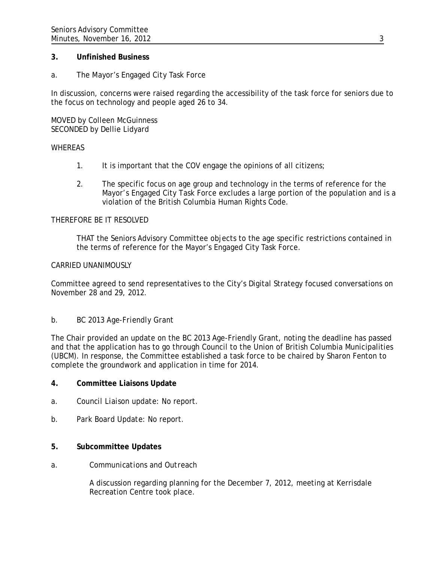### **3. Unfinished Business**

## *a. The Mayor's Engaged City Task Force*

In discussion, concerns were raised regarding the accessibility of the task force for seniors due to the focus on technology and people aged 26 to 34.

MOVED by Colleen McGuinness SECONDED by Dellie Lidyard

#### WHEREAS

- 1. It is important that the COV engage the opinions of all citizens;
- 2. The specific focus on age group and technology in the terms of reference for the Mayor's Engaged City Task Force excludes a large portion of the population and is a violation of the British Columbia Human Rights Code.

## THEREFORE BE IT RESOLVED

THAT the Seniors Advisory Committee objects to the age specific restrictions contained in the terms of reference for the Mayor's Engaged City Task Force.

### CARRIED UNANIMOUSLY

Committee agreed to send representatives to the City's Digital Strategy focused conversations on November 28 and 29, 2012.

#### *b. BC 2013 Age-Friendly Grant*

The Chair provided an update on the BC 2013 Age-Friendly Grant, noting the deadline has passed and that the application has to go through Council to the Union of British Columbia Municipalities (UBCM). In response, the Committee established a task force to be chaired by Sharon Fenton to complete the groundwork and application in time for 2014.

#### **4. Committee Liaisons Update**

- *a. Council Liaison update:* No report.
- *b. Park Board Update:* No report.

### **5. Subcommittee Updates**

*a. Communications and Outreach* 

A discussion regarding planning for the December 7, 2012, meeting at Kerrisdale Recreation Centre took place.